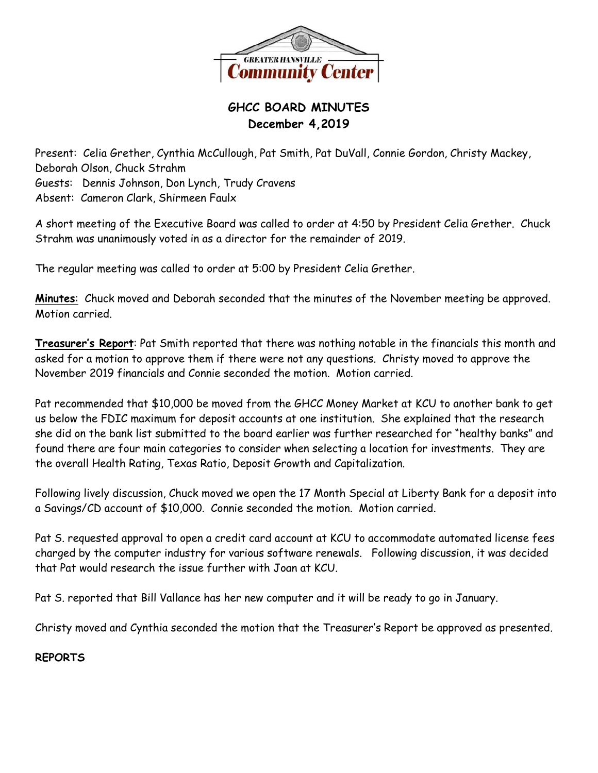

# **GHCC BOARD MINUTES December 4,2019**

Present: Celia Grether, Cynthia McCullough, Pat Smith, Pat DuVall, Connie Gordon, Christy Mackey, Deborah Olson, Chuck Strahm Guests: Dennis Johnson, Don Lynch, Trudy Cravens Absent: Cameron Clark, Shirmeen Faulx

A short meeting of the Executive Board was called to order at 4:50 by President Celia Grether. Chuck Strahm was unanimously voted in as a director for the remainder of 2019.

The regular meeting was called to order at 5:00 by President Celia Grether.

**Minutes**: Chuck moved and Deborah seconded that the minutes of the November meeting be approved. Motion carried.

**Treasurer's Report**: Pat Smith reported that there was nothing notable in the financials this month and asked for a motion to approve them if there were not any questions. Christy moved to approve the November 2019 financials and Connie seconded the motion. Motion carried.

Pat recommended that \$10,000 be moved from the GHCC Money Market at KCU to another bank to get us below the FDIC maximum for deposit accounts at one institution. She explained that the research she did on the bank list submitted to the board earlier was further researched for "healthy banks" and found there are four main categories to consider when selecting a location for investments. They are the overall Health Rating, Texas Ratio, Deposit Growth and Capitalization.

Following lively discussion, Chuck moved we open the 17 Month Special at Liberty Bank for a deposit into a Savings/CD account of \$10,000. Connie seconded the motion. Motion carried.

Pat S. requested approval to open a credit card account at KCU to accommodate automated license fees charged by the computer industry for various software renewals. Following discussion, it was decided that Pat would research the issue further with Joan at KCU.

Pat S. reported that Bill Vallance has her new computer and it will be ready to go in January.

Christy moved and Cynthia seconded the motion that the Treasurer's Report be approved as presented.

# **REPORTS**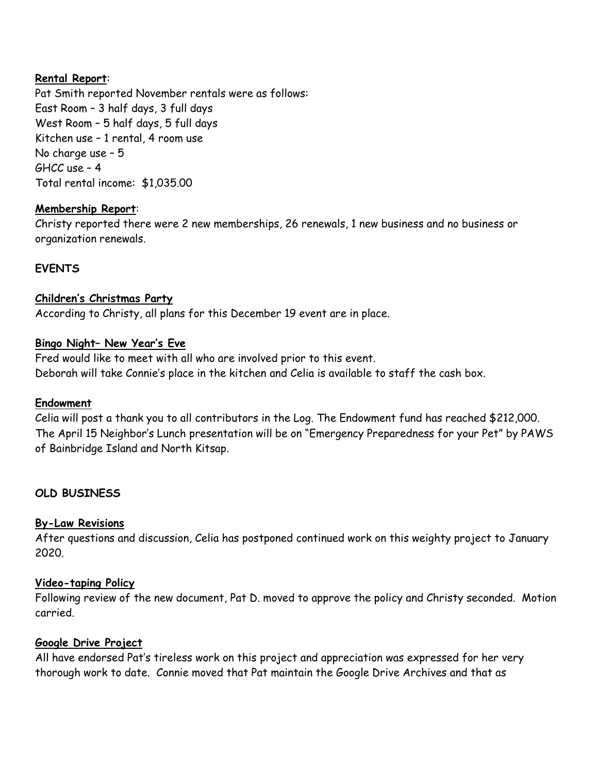### **Rental Report**:

Pat Smith reported November rentals were as follows: East Room – 3 half days, 3 full days West Room – 5 half days, 5 full days Kitchen use – 1 rental, 4 room use No charge use – 5 GHCC use – 4 Total rental income: \$1,035.00

### **Membership Report**:

Christy reported there were 2 new memberships, 26 renewals, 1 new business and no business or organization renewals.

# **EVENTS**

# **Children's Christmas Party**

According to Christy, all plans for this December 19 event are in place.

### **Bingo Night– New Year's Eve**

Fred would like to meet with all who are involved prior to this event. Deborah will take Connie's place in the kitchen and Celia is available to staff the cash box.

### **Endowment**

Celia will post a thank you to all contributors in the Log. The Endowment fund has reached \$212,000. The April 15 Neighbor's Lunch presentation will be on "Emergency Preparedness for your Pet" by PAWS of Bainbridge Island and North Kitsap.

# **OLD BUSINESS**

# **By-Law Revisions**

After questions and discussion, Celia has postponed continued work on this weighty project to January 2020.

### **Video-taping Policy**

Following review of the new document, Pat D. moved to approve the policy and Christy seconded. Motion carried.

# **Google Drive Project**

All have endorsed Pat's tireless work on this project and appreciation was expressed for her very thorough work to date. Connie moved that Pat maintain the Google Drive Archives and that as